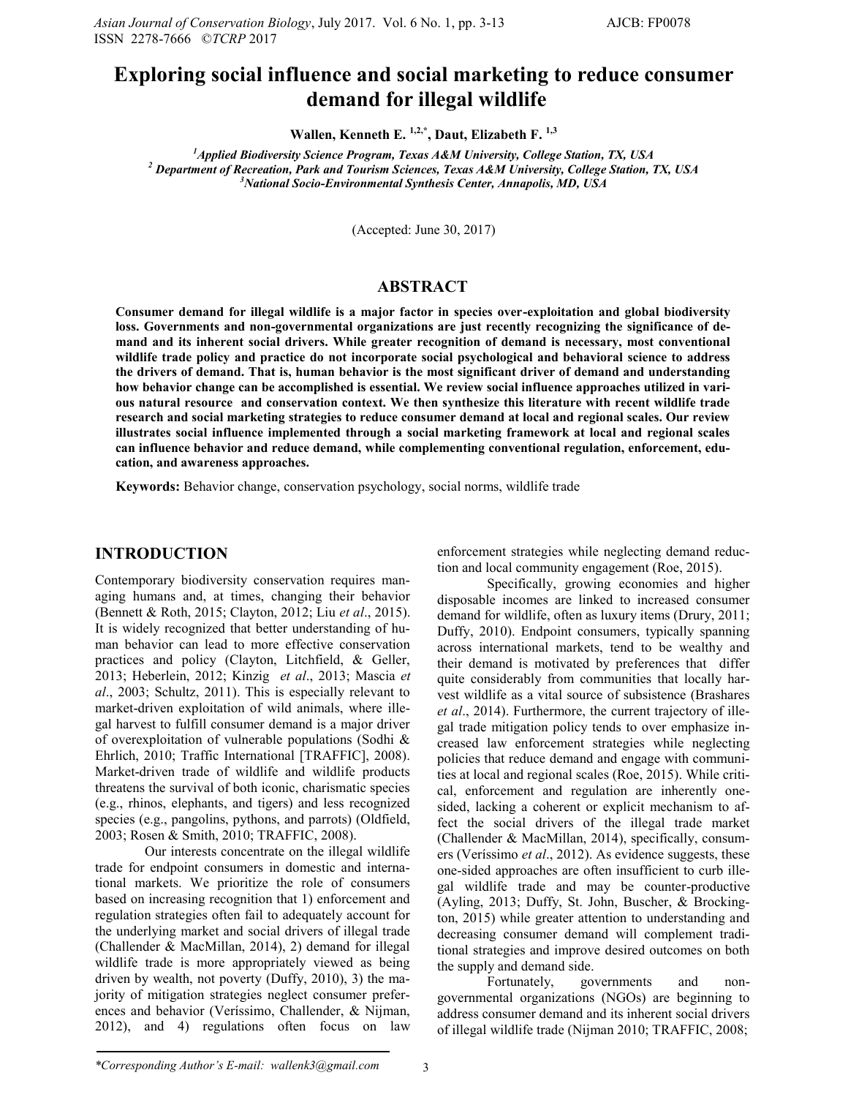# **Exploring social influence and social marketing to reduce consumer demand for illegal wildlife**

**Wallen, Kenneth E. 1,2,\*, Daut, Elizabeth F. 1,3**

*<sup>1</sup>Applied Biodiversity Science Program, Texas A&M University, College Station, TX, USA <sup>2</sup> Department of Recreation, Park and Tourism Sciences, Texas A&M University, College Station, TX, USA <sup>3</sup>National Socio-Environmental Synthesis Center, Annapolis, MD, USA*

(Accepted: June 30, 2017)

## **ABSTRACT**

**Consumer demand for illegal wildlife is a major factor in species over-exploitation and global biodiversity loss. Governments and non-governmental organizations are just recently recognizing the significance of demand and its inherent social drivers. While greater recognition of demand is necessary, most conventional wildlife trade policy and practice do not incorporate social psychological and behavioral science to address the drivers of demand. That is, human behavior is the most significant driver of demand and understanding how behavior change can be accomplished is essential. We review social influence approaches utilized in various natural resource and conservation context. We then synthesize this literature with recent wildlife trade research and social marketing strategies to reduce consumer demand at local and regional scales. Our review illustrates social influence implemented through a social marketing framework at local and regional scales can influence behavior and reduce demand, while complementing conventional regulation, enforcement, education, and awareness approaches.**

**Keywords:** Behavior change, conservation psychology, social norms, wildlife trade

### **INTRODUCTION**

Contemporary biodiversity conservation requires managing humans and, at times, changing their behavior (Bennett & Roth, 2015; Clayton, 2012; Liu *et al*., 2015). It is widely recognized that better understanding of human behavior can lead to more effective conservation practices and policy (Clayton, Litchfield, & Geller, 2013; Heberlein, 2012; Kinzig *et al*., 2013; Mascia *et al*., 2003; Schultz, 2011). This is especially relevant to market-driven exploitation of wild animals, where illegal harvest to fulfill consumer demand is a major driver of overexploitation of vulnerable populations (Sodhi & Ehrlich, 2010; Traffic International [TRAFFIC], 2008). Market-driven trade of wildlife and wildlife products threatens the survival of both iconic, charismatic species (e.g., rhinos, elephants, and tigers) and less recognized species (e.g., pangolins, pythons, and parrots) (Oldfield, 2003; Rosen & Smith, 2010; TRAFFIC, 2008).

Our interests concentrate on the illegal wildlife trade for endpoint consumers in domestic and international markets. We prioritize the role of consumers based on increasing recognition that 1) enforcement and regulation strategies often fail to adequately account for the underlying market and social drivers of illegal trade (Challender & MacMillan, 2014), 2) demand for illegal wildlife trade is more appropriately viewed as being driven by wealth, not poverty (Duffy, 2010), 3) the majority of mitigation strategies neglect consumer preferences and behavior (Veríssimo, Challender, & Nijman, 2012), and 4) regulations often focus on law enforcement strategies while neglecting demand reduction and local community engagement (Roe, 2015).

Specifically, growing economies and higher disposable incomes are linked to increased consumer demand for wildlife, often as luxury items (Drury, 2011; Duffy, 2010). Endpoint consumers, typically spanning across international markets, tend to be wealthy and their demand is motivated by preferences that differ quite considerably from communities that locally harvest wildlife as a vital source of subsistence (Brashares *et al*., 2014). Furthermore, the current trajectory of illegal trade mitigation policy tends to over emphasize increased law enforcement strategies while neglecting policies that reduce demand and engage with communities at local and regional scales (Roe, 2015). While critical, enforcement and regulation are inherently onesided, lacking a coherent or explicit mechanism to affect the social drivers of the illegal trade market (Challender & MacMillan, 2014), specifically, consumers (Veríssimo *et al*., 2012). As evidence suggests, these one-sided approaches are often insufficient to curb illegal wildlife trade and may be counter-productive (Ayling, 2013; Duffy, St. John, Buscher, & Brockington, 2015) while greater attention to understanding and decreasing consumer demand will complement traditional strategies and improve desired outcomes on both the supply and demand side.

Fortunately, governments and nongovernmental organizations (NGOs) are beginning to address consumer demand and its inherent social drivers of illegal wildlife trade (Nijman 2010; TRAFFIC, 2008;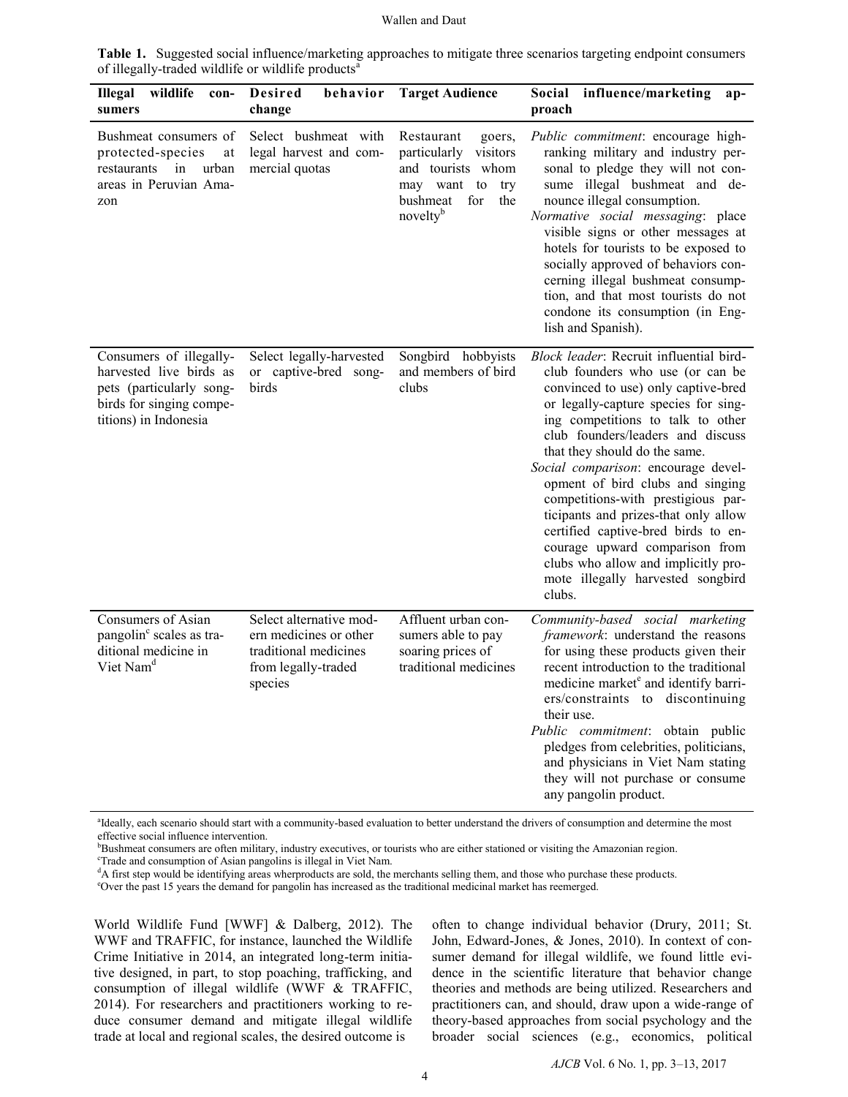| <b>Illegal</b><br>wildlife<br>con-<br>sumers                                                                                        | Desired<br>behavior<br>change                                                                                | <b>Target Audience</b>                                                                                                                        | Social influence/marketing<br>$ap-$<br>proach                                                                                                                                                                                                                                                                                                                                                                                                                                                                                                                                                 |
|-------------------------------------------------------------------------------------------------------------------------------------|--------------------------------------------------------------------------------------------------------------|-----------------------------------------------------------------------------------------------------------------------------------------------|-----------------------------------------------------------------------------------------------------------------------------------------------------------------------------------------------------------------------------------------------------------------------------------------------------------------------------------------------------------------------------------------------------------------------------------------------------------------------------------------------------------------------------------------------------------------------------------------------|
| Bushmeat consumers of<br>protected-species<br>at<br>restaurants in<br>urban<br>areas in Peruvian Ama-<br>zon                        | Select bushmeat with<br>legal harvest and com-<br>mercial quotas                                             | Restaurant<br>goers,<br>particularly<br>visitors<br>and tourists whom<br>may want to<br>try<br>bushmeat<br>for<br>the<br>novelty <sup>b</sup> | Public commitment: encourage high-<br>ranking military and industry per-<br>sonal to pledge they will not con-<br>sume illegal bushmeat and de-<br>nounce illegal consumption.<br>Normative social messaging: place<br>visible signs or other messages at<br>hotels for tourists to be exposed to<br>socially approved of behaviors con-<br>cerning illegal bushmeat consump-<br>tion, and that most tourists do not<br>condone its consumption (in Eng-<br>lish and Spanish).                                                                                                                |
| Consumers of illegally-<br>harvested live birds as<br>pets (particularly song-<br>birds for singing compe-<br>titions) in Indonesia | Select legally-harvested<br>or captive-bred song-<br>birds                                                   | Songbird hobbyists<br>and members of bird<br>clubs                                                                                            | Block leader: Recruit influential bird-<br>club founders who use (or can be<br>convinced to use) only captive-bred<br>or legally-capture species for sing-<br>ing competitions to talk to other<br>club founders/leaders and discuss<br>that they should do the same.<br>Social comparison: encourage devel-<br>opment of bird clubs and singing<br>competitions-with prestigious par-<br>ticipants and prizes-that only allow<br>certified captive-bred birds to en-<br>courage upward comparison from<br>clubs who allow and implicitly pro-<br>mote illegally harvested songbird<br>clubs. |
| Consumers of Asian<br>pangolin <sup>c</sup> scales as tra-<br>ditional medicine in<br>Viet Nam <sup>d</sup>                         | Select alternative mod-<br>ern medicines or other<br>traditional medicines<br>from legally-traded<br>species | Affluent urban con-<br>sumers able to pay<br>soaring prices of<br>traditional medicines                                                       | Community-based social marketing<br>framework: understand the reasons<br>for using these products given their<br>recent introduction to the traditional<br>medicine market <sup>e</sup> and identify barri-<br>ers/constraints to discontinuing<br>their use.<br>Public commitment: obtain public<br>pledges from celebrities, politicians,<br>and physicians in Viet Nam stating<br>they will not purchase or consume<br>any pangolin product.                                                                                                                                               |

**Table 1.** Suggested social influence/marketing approaches to mitigate three scenarios targeting endpoint consumers of illegally-traded wildlife or wildlife products<sup>a</sup>

<sup>a</sup>Ideally, each scenario should start with a community-based evaluation to better understand the drivers of consumption and determine the most effective social influence intervention.

<sup>b</sup>Bushmeat consumers are often military, industry executives, or tourists who are either stationed or visiting the Amazonian region.

<sup>c</sup>Trade and consumption of Asian pangolins is illegal in Viet Nam.

<sup>d</sup>A first step would be identifying areas wherproducts are sold, the merchants selling them, and those who purchase these products.

<sup>e</sup>Over the past 15 years the demand for pangolin has increased as the traditional medicinal market has reemerged.

World Wildlife Fund [WWF] & Dalberg, 2012). The WWF and TRAFFIC, for instance, launched the Wildlife Crime Initiative in 2014, an integrated long-term initiative designed, in part, to stop poaching, trafficking, and consumption of illegal wildlife (WWF & TRAFFIC, 2014). For researchers and practitioners working to reduce consumer demand and mitigate illegal wildlife trade at local and regional scales, the desired outcome is

often to change individual behavior (Drury, 2011; St. John, Edward-Jones, & Jones, 2010). In context of consumer demand for illegal wildlife, we found little evidence in the scientific literature that behavior change theories and methods are being utilized. Researchers and practitioners can, and should, draw upon a wide-range of theory-based approaches from social psychology and the broader social sciences (e.g., economics, political

*AJCB* Vol. 6 No. 1, pp. 3–13, 2017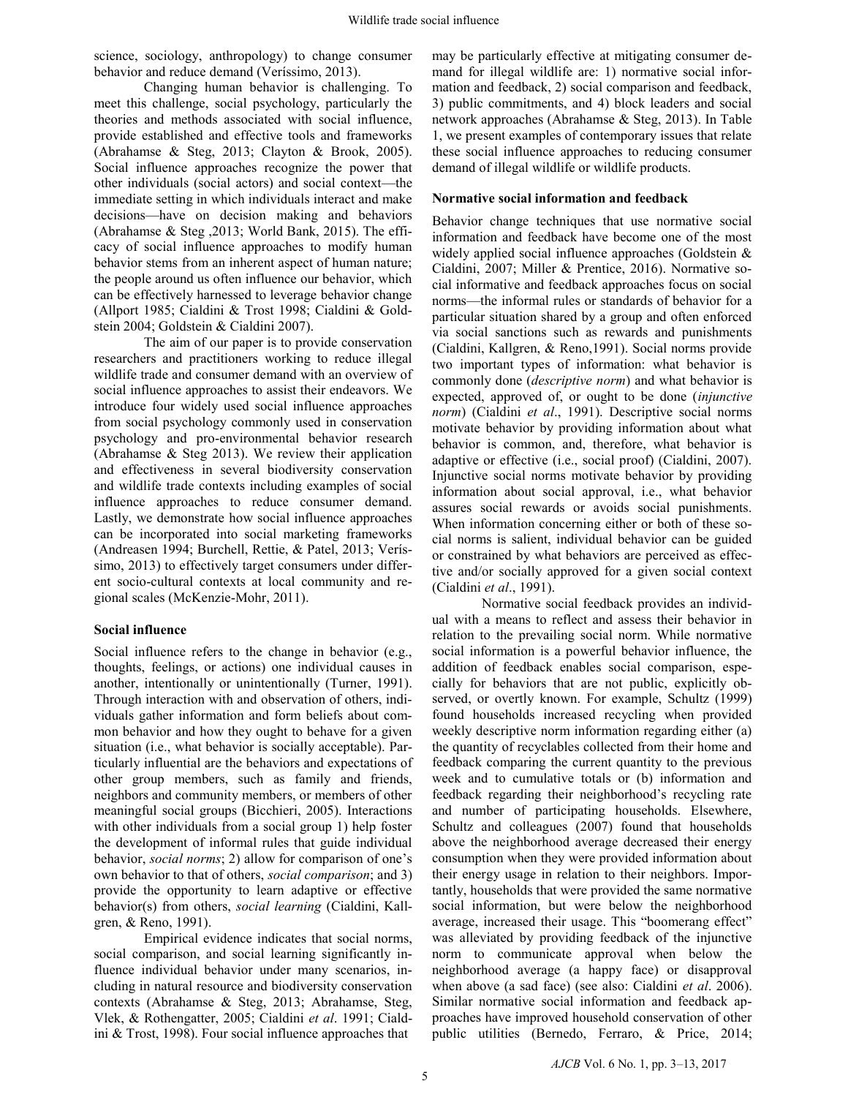science, sociology, anthropology) to change consumer behavior and reduce demand (Veríssimo, 2013).

Changing human behavior is challenging. To meet this challenge, social psychology, particularly the theories and methods associated with social influence, provide established and effective tools and frameworks (Abrahamse & Steg, 2013; Clayton & Brook, 2005). Social influence approaches recognize the power that other individuals (social actors) and social context—the immediate setting in which individuals interact and make decisions—have on decision making and behaviors (Abrahamse & Steg ,2013; World Bank, 2015). The efficacy of social influence approaches to modify human behavior stems from an inherent aspect of human nature; the people around us often influence our behavior, which can be effectively harnessed to leverage behavior change (Allport 1985; Cialdini & Trost 1998; Cialdini & Goldstein 2004; Goldstein & Cialdini 2007).

The aim of our paper is to provide conservation researchers and practitioners working to reduce illegal wildlife trade and consumer demand with an overview of social influence approaches to assist their endeavors. We introduce four widely used social influence approaches from social psychology commonly used in conservation psychology and pro-environmental behavior research (Abrahamse & Steg 2013). We review their application and effectiveness in several biodiversity conservation and wildlife trade contexts including examples of social influence approaches to reduce consumer demand. Lastly, we demonstrate how social influence approaches can be incorporated into social marketing frameworks (Andreasen 1994; Burchell, Rettie, & Patel, 2013; Veríssimo, 2013) to effectively target consumers under different socio-cultural contexts at local community and regional scales (McKenzie-Mohr, 2011).

### **Social influence**

Social influence refers to the change in behavior (e.g., thoughts, feelings, or actions) one individual causes in another, intentionally or unintentionally (Turner, 1991). Through interaction with and observation of others, individuals gather information and form beliefs about common behavior and how they ought to behave for a given situation (i.e., what behavior is socially acceptable). Particularly influential are the behaviors and expectations of other group members, such as family and friends, neighbors and community members, or members of other meaningful social groups (Bicchieri, 2005). Interactions with other individuals from a social group 1) help foster the development of informal rules that guide individual behavior, *social norms*; 2) allow for comparison of one's own behavior to that of others, *social comparison*; and 3) provide the opportunity to learn adaptive or effective behavior(s) from others, *social learning* (Cialdini, Kallgren, & Reno, 1991).

Empirical evidence indicates that social norms, social comparison, and social learning significantly influence individual behavior under many scenarios, including in natural resource and biodiversity conservation contexts (Abrahamse & Steg, 2013; Abrahamse, Steg, Vlek, & Rothengatter, 2005; Cialdini *et al*. 1991; Cialdini & Trost, 1998). Four social influence approaches that

may be particularly effective at mitigating consumer demand for illegal wildlife are: 1) normative social information and feedback, 2) social comparison and feedback, 3) public commitments, and 4) block leaders and social network approaches (Abrahamse & Steg, 2013). In Table 1, we present examples of contemporary issues that relate these social influence approaches to reducing consumer demand of illegal wildlife or wildlife products.

## **Normative social information and feedback**

Behavior change techniques that use normative social information and feedback have become one of the most widely applied social influence approaches (Goldstein & Cialdini, 2007; Miller & Prentice, 2016). Normative social informative and feedback approaches focus on social norms—the informal rules or standards of behavior for a particular situation shared by a group and often enforced via social sanctions such as rewards and punishments (Cialdini, Kallgren, & Reno,1991). Social norms provide two important types of information: what behavior is commonly done (*descriptive norm*) and what behavior is expected, approved of, or ought to be done (*injunctive norm*) (Cialdini *et al*., 1991). Descriptive social norms motivate behavior by providing information about what behavior is common, and, therefore, what behavior is adaptive or effective (i.e., social proof) (Cialdini, 2007). Injunctive social norms motivate behavior by providing information about social approval, i.e., what behavior assures social rewards or avoids social punishments. When information concerning either or both of these social norms is salient, individual behavior can be guided or constrained by what behaviors are perceived as effective and/or socially approved for a given social context (Cialdini *et al*., 1991).

Normative social feedback provides an individual with a means to reflect and assess their behavior in relation to the prevailing social norm. While normative social information is a powerful behavior influence, the addition of feedback enables social comparison, especially for behaviors that are not public, explicitly observed, or overtly known. For example, Schultz (1999) found households increased recycling when provided weekly descriptive norm information regarding either (a) the quantity of recyclables collected from their home and feedback comparing the current quantity to the previous week and to cumulative totals or (b) information and feedback regarding their neighborhood's recycling rate and number of participating households. Elsewhere, Schultz and colleagues (2007) found that households above the neighborhood average decreased their energy consumption when they were provided information about their energy usage in relation to their neighbors. Importantly, households that were provided the same normative social information, but were below the neighborhood average, increased their usage. This "boomerang effect" was alleviated by providing feedback of the injunctive norm to communicate approval when below the neighborhood average (a happy face) or disapproval when above (a sad face) (see also: Cialdini *et al*. 2006). Similar normative social information and feedback approaches have improved household conservation of other public utilities (Bernedo, Ferraro, & Price, 2014;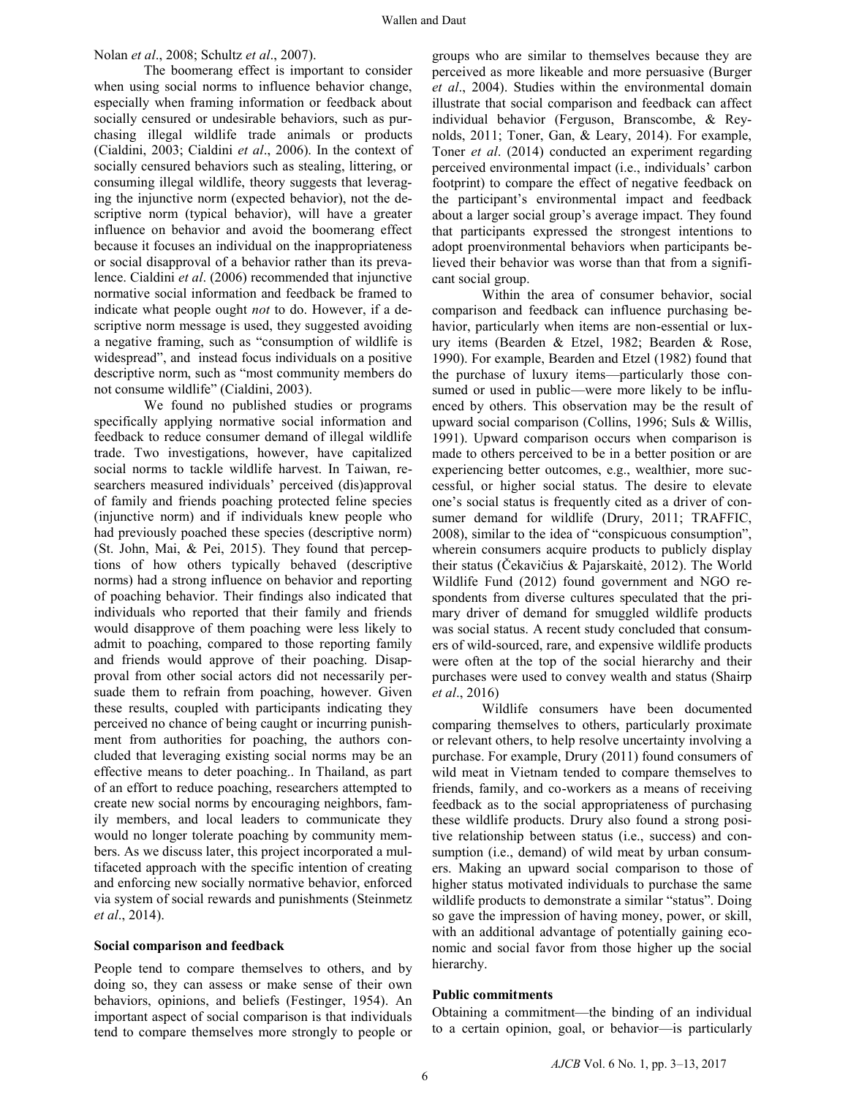## Nolan *et al*., 2008; Schultz *et al*., 2007).

The boomerang effect is important to consider when using social norms to influence behavior change, especially when framing information or feedback about socially censured or undesirable behaviors, such as purchasing illegal wildlife trade animals or products (Cialdini, 2003; Cialdini *et al*., 2006). In the context of socially censured behaviors such as stealing, littering, or consuming illegal wildlife, theory suggests that leveraging the injunctive norm (expected behavior), not the descriptive norm (typical behavior), will have a greater influence on behavior and avoid the boomerang effect because it focuses an individual on the inappropriateness or social disapproval of a behavior rather than its prevalence. Cialdini *et al*. (2006) recommended that injunctive normative social information and feedback be framed to indicate what people ought *not* to do. However, if a descriptive norm message is used, they suggested avoiding a negative framing, such as "consumption of wildlife is widespread", and instead focus individuals on a positive descriptive norm, such as "most community members do not consume wildlife" (Cialdini, 2003).

We found no published studies or programs specifically applying normative social information and feedback to reduce consumer demand of illegal wildlife trade. Two investigations, however, have capitalized social norms to tackle wildlife harvest. In Taiwan, researchers measured individuals' perceived (dis)approval of family and friends poaching protected feline species (injunctive norm) and if individuals knew people who had previously poached these species (descriptive norm) (St. John, Mai, & Pei, 2015). They found that perceptions of how others typically behaved (descriptive norms) had a strong influence on behavior and reporting of poaching behavior. Their findings also indicated that individuals who reported that their family and friends would disapprove of them poaching were less likely to admit to poaching, compared to those reporting family and friends would approve of their poaching. Disapproval from other social actors did not necessarily persuade them to refrain from poaching, however. Given these results, coupled with participants indicating they perceived no chance of being caught or incurring punishment from authorities for poaching, the authors concluded that leveraging existing social norms may be an effective means to deter poaching.. In Thailand, as part of an effort to reduce poaching, researchers attempted to create new social norms by encouraging neighbors, family members, and local leaders to communicate they would no longer tolerate poaching by community members. As we discuss later, this project incorporated a multifaceted approach with the specific intention of creating and enforcing new socially normative behavior, enforced via system of social rewards and punishments (Steinmetz *et al*., 2014).

#### **Social comparison and feedback**

People tend to compare themselves to others, and by doing so, they can assess or make sense of their own behaviors, opinions, and beliefs (Festinger, 1954). An important aspect of social comparison is that individuals tend to compare themselves more strongly to people or

groups who are similar to themselves because they are perceived as more likeable and more persuasive (Burger *et al*., 2004). Studies within the environmental domain illustrate that social comparison and feedback can affect individual behavior (Ferguson, Branscombe, & Reynolds, 2011; Toner, Gan, & Leary, 2014). For example, Toner *et al*. (2014) conducted an experiment regarding perceived environmental impact (i.e., individuals' carbon footprint) to compare the effect of negative feedback on the participant's environmental impact and feedback about a larger social group's average impact. They found that participants expressed the strongest intentions to adopt proenvironmental behaviors when participants believed their behavior was worse than that from a significant social group.

Within the area of consumer behavior, social comparison and feedback can influence purchasing behavior, particularly when items are non-essential or luxury items (Bearden & Etzel, 1982; Bearden & Rose, 1990). For example, Bearden and Etzel (1982) found that the purchase of luxury items—particularly those consumed or used in public—were more likely to be influenced by others. This observation may be the result of upward social comparison (Collins, 1996; Suls & Willis, 1991). Upward comparison occurs when comparison is made to others perceived to be in a better position or are experiencing better outcomes, e.g., wealthier, more successful, or higher social status. The desire to elevate one's social status is frequently cited as a driver of consumer demand for wildlife (Drury, 2011; TRAFFIC, 2008), similar to the idea of "conspicuous consumption", wherein consumers acquire products to publicly display their status (Čekavičius & Pajarskaitė, 2012). The World Wildlife Fund (2012) found government and NGO respondents from diverse cultures speculated that the primary driver of demand for smuggled wildlife products was social status. A recent study concluded that consumers of wild-sourced, rare, and expensive wildlife products were often at the top of the social hierarchy and their purchases were used to convey wealth and status (Shairp *et al*., 2016)

Wildlife consumers have been documented comparing themselves to others, particularly proximate or relevant others, to help resolve uncertainty involving a purchase. For example, Drury (2011) found consumers of wild meat in Vietnam tended to compare themselves to friends, family, and co-workers as a means of receiving feedback as to the social appropriateness of purchasing these wildlife products. Drury also found a strong positive relationship between status (i.e., success) and consumption (i.e., demand) of wild meat by urban consumers. Making an upward social comparison to those of higher status motivated individuals to purchase the same wildlife products to demonstrate a similar "status". Doing so gave the impression of having money, power, or skill, with an additional advantage of potentially gaining economic and social favor from those higher up the social hierarchy.

#### **Public commitments**

Obtaining a commitment—the binding of an individual to a certain opinion, goal, or behavior—is particularly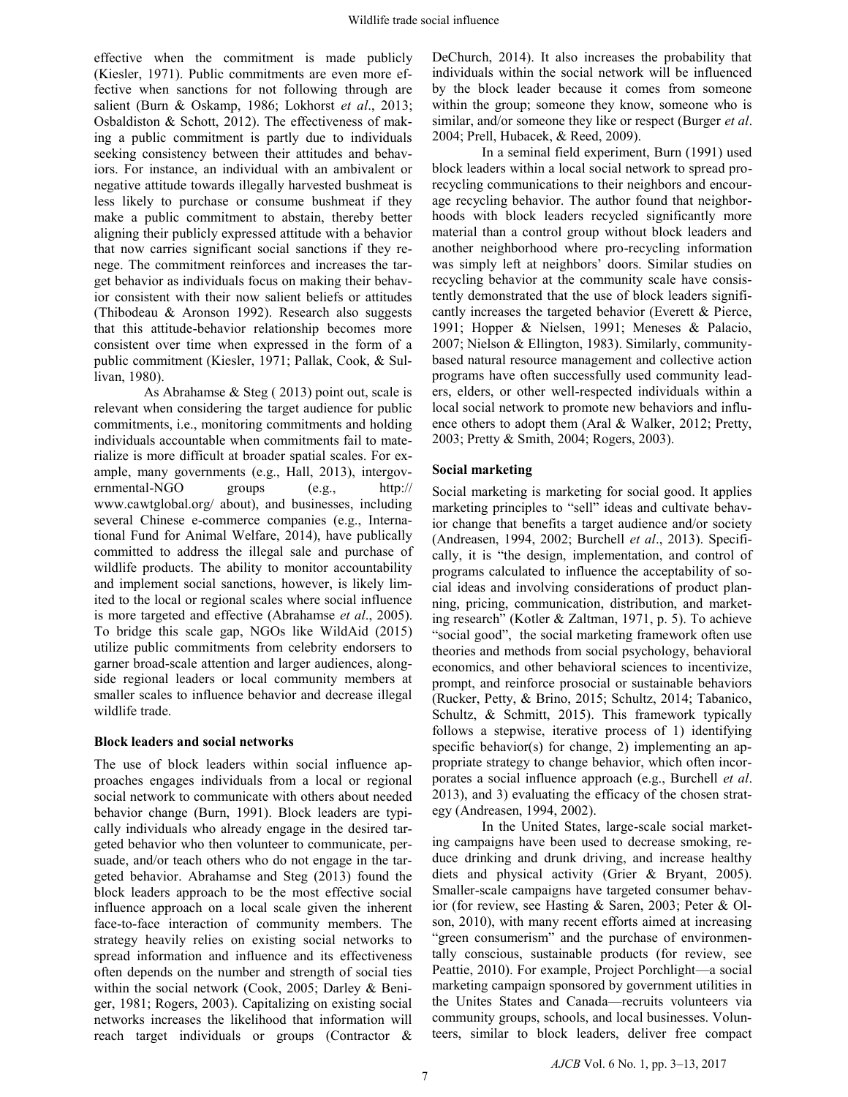effective when the commitment is made publicly (Kiesler, 1971). Public commitments are even more effective when sanctions for not following through are salient (Burn & Oskamp, 1986; Lokhorst *et al*., 2013; Osbaldiston & Schott, 2012). The effectiveness of making a public commitment is partly due to individuals seeking consistency between their attitudes and behaviors. For instance, an individual with an ambivalent or negative attitude towards illegally harvested bushmeat is less likely to purchase or consume bushmeat if they make a public commitment to abstain, thereby better aligning their publicly expressed attitude with a behavior that now carries significant social sanctions if they renege. The commitment reinforces and increases the target behavior as individuals focus on making their behavior consistent with their now salient beliefs or attitudes (Thibodeau & Aronson 1992). Research also suggests that this attitude-behavior relationship becomes more consistent over time when expressed in the form of a public commitment (Kiesler, 1971; Pallak, Cook, & Sullivan, 1980).

As Abrahamse & Steg ( 2013) point out, scale is relevant when considering the target audience for public commitments, i.e., monitoring commitments and holding individuals accountable when commitments fail to materialize is more difficult at broader spatial scales. For example, many governments (e.g., Hall, 2013), intergovernmental-NGO groups (e.g., http:// www.cawtglobal.org/ about), and businesses, including several Chinese e-commerce companies (e.g., International Fund for Animal Welfare, 2014), have publically committed to address the illegal sale and purchase of wildlife products. The ability to monitor accountability and implement social sanctions, however, is likely limited to the local or regional scales where social influence is more targeted and effective (Abrahamse *et al*., 2005). To bridge this scale gap, NGOs like WildAid (2015) utilize public commitments from celebrity endorsers to garner broad-scale attention and larger audiences, alongside regional leaders or local community members at smaller scales to influence behavior and decrease illegal wildlife trade.

### **Block leaders and social networks**

The use of block leaders within social influence approaches engages individuals from a local or regional social network to communicate with others about needed behavior change (Burn, 1991). Block leaders are typically individuals who already engage in the desired targeted behavior who then volunteer to communicate, persuade, and/or teach others who do not engage in the targeted behavior. Abrahamse and Steg (2013) found the block leaders approach to be the most effective social influence approach on a local scale given the inherent face-to-face interaction of community members. The strategy heavily relies on existing social networks to spread information and influence and its effectiveness often depends on the number and strength of social ties within the social network (Cook, 2005; Darley & Beniger, 1981; Rogers, 2003). Capitalizing on existing social networks increases the likelihood that information will reach target individuals or groups (Contractor &

DeChurch, 2014). It also increases the probability that individuals within the social network will be influenced by the block leader because it comes from someone within the group; someone they know, someone who is similar, and/or someone they like or respect (Burger *et al*. 2004; Prell, Hubacek, & Reed, 2009).

In a seminal field experiment, Burn (1991) used block leaders within a local social network to spread prorecycling communications to their neighbors and encourage recycling behavior. The author found that neighborhoods with block leaders recycled significantly more material than a control group without block leaders and another neighborhood where pro-recycling information was simply left at neighbors' doors. Similar studies on recycling behavior at the community scale have consistently demonstrated that the use of block leaders significantly increases the targeted behavior (Everett & Pierce, 1991; Hopper & Nielsen, 1991; Meneses & Palacio, 2007; Nielson & Ellington, 1983). Similarly, communitybased natural resource management and collective action programs have often successfully used community leaders, elders, or other well-respected individuals within a local social network to promote new behaviors and influence others to adopt them (Aral & Walker, 2012; Pretty, 2003; Pretty & Smith, 2004; Rogers, 2003).

# **Social marketing**

Social marketing is marketing for social good. It applies marketing principles to "sell" ideas and cultivate behavior change that benefits a target audience and/or society (Andreasen, 1994, 2002; Burchell *et al*., 2013). Specifically, it is "the design, implementation, and control of programs calculated to influence the acceptability of social ideas and involving considerations of product planning, pricing, communication, distribution, and marketing research" (Kotler & Zaltman, 1971, p. 5). To achieve "social good", the social marketing framework often use theories and methods from social psychology, behavioral economics, and other behavioral sciences to incentivize, prompt, and reinforce prosocial or sustainable behaviors (Rucker, Petty, & Brino, 2015; Schultz, 2014; Tabanico, Schultz, & Schmitt, 2015). This framework typically follows a stepwise, iterative process of 1) identifying specific behavior(s) for change, 2) implementing an appropriate strategy to change behavior, which often incorporates a social influence approach (e.g., Burchell *et al*. 2013), and 3) evaluating the efficacy of the chosen strategy (Andreasen, 1994, 2002).

In the United States, large-scale social marketing campaigns have been used to decrease smoking, reduce drinking and drunk driving, and increase healthy diets and physical activity (Grier & Bryant, 2005). Smaller-scale campaigns have targeted consumer behavior (for review, see Hasting & Saren, 2003; Peter & Olson, 2010), with many recent efforts aimed at increasing "green consumerism" and the purchase of environmentally conscious, sustainable products (for review, see Peattie, 2010). For example, Project Porchlight—a social marketing campaign sponsored by government utilities in the Unites States and Canada—recruits volunteers via community groups, schools, and local businesses. Volunteers, similar to block leaders, deliver free compact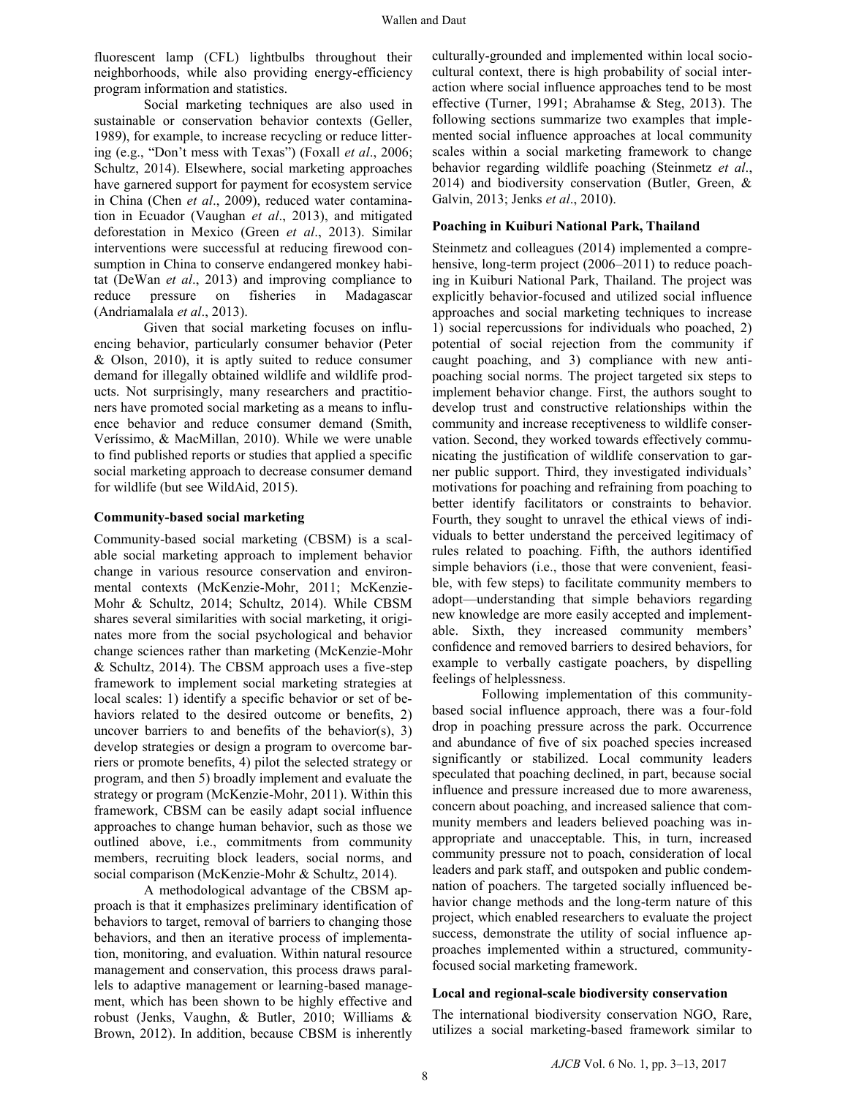fluorescent lamp (CFL) lightbulbs throughout their neighborhoods, while also providing energy-efficiency program information and statistics.

Social marketing techniques are also used in sustainable or conservation behavior contexts (Geller, 1989), for example, to increase recycling or reduce littering (e.g., "Don't mess with Texas") (Foxall *et al*., 2006; Schultz, 2014). Elsewhere, social marketing approaches have garnered support for payment for ecosystem service in China (Chen *et al*., 2009), reduced water contamination in Ecuador (Vaughan *et al*., 2013), and mitigated deforestation in Mexico (Green *et al*., 2013). Similar interventions were successful at reducing firewood consumption in China to conserve endangered monkey habitat (DeWan *et al*., 2013) and improving compliance to reduce pressure on fisheries in Madagascar (Andriamalala *et al*., 2013).

Given that social marketing focuses on influencing behavior, particularly consumer behavior (Peter & Olson, 2010), it is aptly suited to reduce consumer demand for illegally obtained wildlife and wildlife products. Not surprisingly, many researchers and practitioners have promoted social marketing as a means to influence behavior and reduce consumer demand (Smith, Veríssimo, & MacMillan, 2010). While we were unable to find published reports or studies that applied a specific social marketing approach to decrease consumer demand for wildlife (but see WildAid, 2015).

#### **Community-based social marketing**

Community-based social marketing (CBSM) is a scalable social marketing approach to implement behavior change in various resource conservation and environmental contexts (McKenzie-Mohr, 2011; McKenzie-Mohr & Schultz, 2014; Schultz, 2014). While CBSM shares several similarities with social marketing, it originates more from the social psychological and behavior change sciences rather than marketing (McKenzie-Mohr & Schultz, 2014). The CBSM approach uses a five-step framework to implement social marketing strategies at local scales: 1) identify a specific behavior or set of behaviors related to the desired outcome or benefits, 2) uncover barriers to and benefits of the behavior(s), 3) develop strategies or design a program to overcome barriers or promote benefits, 4) pilot the selected strategy or program, and then 5) broadly implement and evaluate the strategy or program (McKenzie-Mohr, 2011). Within this framework, CBSM can be easily adapt social influence approaches to change human behavior, such as those we outlined above, i.e., commitments from community members, recruiting block leaders, social norms, and social comparison (McKenzie-Mohr & Schultz, 2014).

A methodological advantage of the CBSM approach is that it emphasizes preliminary identification of behaviors to target, removal of barriers to changing those behaviors, and then an iterative process of implementation, monitoring, and evaluation. Within natural resource management and conservation, this process draws parallels to adaptive management or learning-based management, which has been shown to be highly effective and robust (Jenks, Vaughn, & Butler, 2010; Williams & Brown, 2012). In addition, because CBSM is inherently

culturally-grounded and implemented within local sociocultural context, there is high probability of social interaction where social influence approaches tend to be most effective (Turner, 1991; Abrahamse & Steg, 2013). The following sections summarize two examples that implemented social influence approaches at local community scales within a social marketing framework to change behavior regarding wildlife poaching (Steinmetz *et al*., 2014) and biodiversity conservation (Butler, Green, & Galvin, 2013; Jenks *et al*., 2010).

#### **Poaching in Kuiburi National Park, Thailand**

Steinmetz and colleagues (2014) implemented a comprehensive, long-term project (2006–2011) to reduce poaching in Kuiburi National Park, Thailand. The project was explicitly behavior-focused and utilized social influence approaches and social marketing techniques to increase 1) social repercussions for individuals who poached, 2) potential of social rejection from the community if caught poaching, and 3) compliance with new antipoaching social norms. The project targeted six steps to implement behavior change. First, the authors sought to develop trust and constructive relationships within the community and increase receptiveness to wildlife conservation. Second, they worked towards effectively communicating the justification of wildlife conservation to garner public support. Third, they investigated individuals' motivations for poaching and refraining from poaching to better identify facilitators or constraints to behavior. Fourth, they sought to unravel the ethical views of individuals to better understand the perceived legitimacy of rules related to poaching. Fifth, the authors identified simple behaviors (i.e., those that were convenient, feasible, with few steps) to facilitate community members to adopt—understanding that simple behaviors regarding new knowledge are more easily accepted and implementable. Sixth, they increased community members' confidence and removed barriers to desired behaviors, for example to verbally castigate poachers, by dispelling feelings of helplessness.

Following implementation of this communitybased social influence approach, there was a four-fold drop in poaching pressure across the park. Occurrence and abundance of five of six poached species increased significantly or stabilized. Local community leaders speculated that poaching declined, in part, because social influence and pressure increased due to more awareness, concern about poaching, and increased salience that community members and leaders believed poaching was inappropriate and unacceptable. This, in turn, increased community pressure not to poach, consideration of local leaders and park staff, and outspoken and public condemnation of poachers. The targeted socially influenced behavior change methods and the long-term nature of this project, which enabled researchers to evaluate the project success, demonstrate the utility of social influence approaches implemented within a structured, communityfocused social marketing framework.

#### **Local and regional-scale biodiversity conservation**

The international biodiversity conservation NGO, Rare, utilizes a social marketing-based framework similar to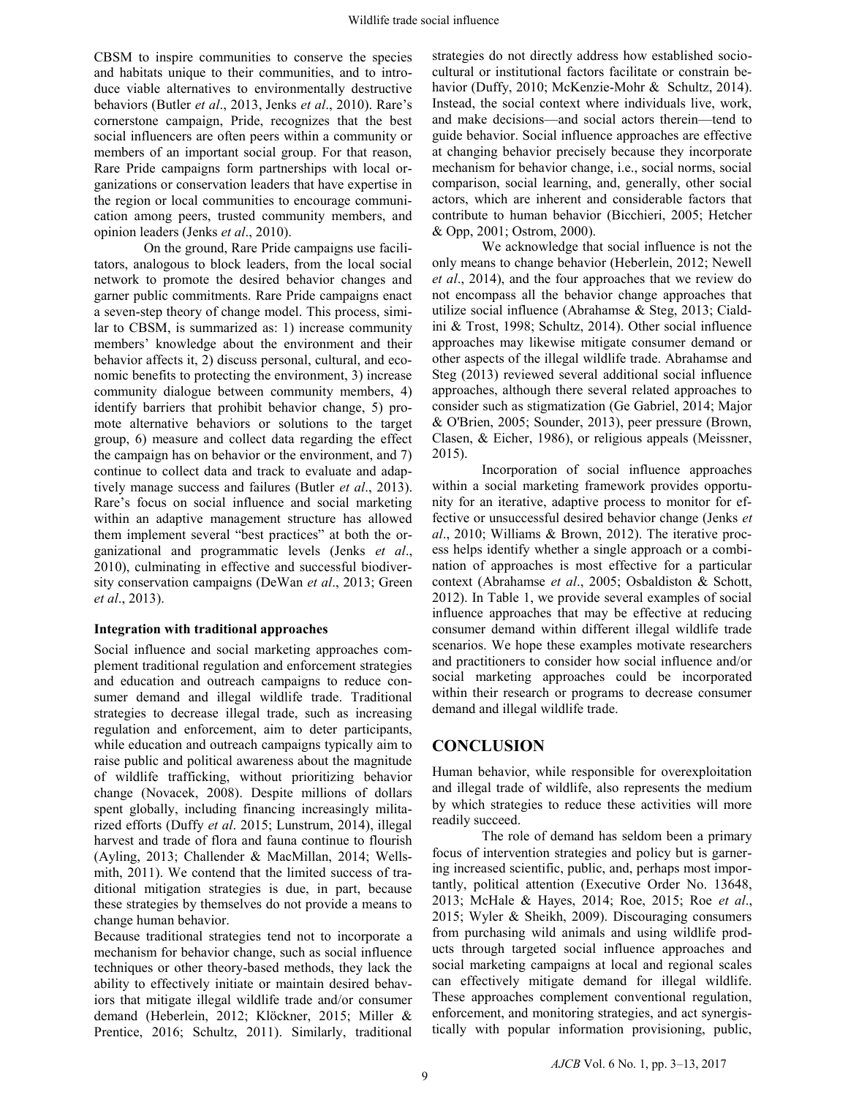CBSM to inspire communities to conserve the species and habitats unique to their communities, and to introduce viable alternatives to environmentally destructive behaviors (Butler *et al*., 2013, Jenks *et al*., 2010). Rare's cornerstone campaign, Pride, recognizes that the best social influencers are often peers within a community or members of an important social group. For that reason, Rare Pride campaigns form partnerships with local organizations or conservation leaders that have expertise in the region or local communities to encourage communication among peers, trusted community members, and opinion leaders (Jenks *et al*., 2010).

On the ground, Rare Pride campaigns use facilitators, analogous to block leaders, from the local social network to promote the desired behavior changes and garner public commitments. Rare Pride campaigns enact a seven-step theory of change model. This process, similar to CBSM, is summarized as: 1) increase community members' knowledge about the environment and their behavior affects it, 2) discuss personal, cultural, and economic benefits to protecting the environment, 3) increase community dialogue between community members, 4) identify barriers that prohibit behavior change, 5) promote alternative behaviors or solutions to the target group, 6) measure and collect data regarding the effect the campaign has on behavior or the environment, and 7) continue to collect data and track to evaluate and adaptively manage success and failures (Butler *et al*., 2013). Rare's focus on social influence and social marketing within an adaptive management structure has allowed them implement several "best practices" at both the organizational and programmatic levels (Jenks *et al*., 2010), culminating in effective and successful biodiversity conservation campaigns (DeWan *et al*., 2013; Green *et al*., 2013).

# **Integration with traditional approaches**

Social influence and social marketing approaches complement traditional regulation and enforcement strategies and education and outreach campaigns to reduce consumer demand and illegal wildlife trade. Traditional strategies to decrease illegal trade, such as increasing regulation and enforcement, aim to deter participants, while education and outreach campaigns typically aim to raise public and political awareness about the magnitude of wildlife trafficking, without prioritizing behavior change (Novacek, 2008). Despite millions of dollars spent globally, including financing increasingly militarized efforts (Duffy *et al*. 2015; Lunstrum, 2014), illegal harvest and trade of flora and fauna continue to flourish (Ayling, 2013; Challender & MacMillan, 2014; Wellsmith, 2011). We contend that the limited success of traditional mitigation strategies is due, in part, because these strategies by themselves do not provide a means to change human behavior.

Because traditional strategies tend not to incorporate a mechanism for behavior change, such as social influence techniques or other theory-based methods, they lack the ability to effectively initiate or maintain desired behaviors that mitigate illegal wildlife trade and/or consumer demand (Heberlein, 2012; Klöckner, 2015; Miller & Prentice, 2016; Schultz, 2011). Similarly, traditional

strategies do not directly address how established sociocultural or institutional factors facilitate or constrain behavior (Duffy, 2010; McKenzie-Mohr & Schultz, 2014). Instead, the social context where individuals live, work, and make decisions—and social actors therein—tend to guide behavior. Social influence approaches are effective at changing behavior precisely because they incorporate mechanism for behavior change, i.e., social norms, social comparison, social learning, and, generally, other social actors, which are inherent and considerable factors that contribute to human behavior (Bicchieri, 2005; Hetcher & Opp, 2001; Ostrom, 2000).

We acknowledge that social influence is not the only means to change behavior (Heberlein, 2012; Newell *et al*., 2014), and the four approaches that we review do not encompass all the behavior change approaches that utilize social influence (Abrahamse & Steg, 2013; Cialdini & Trost, 1998; Schultz, 2014). Other social influence approaches may likewise mitigate consumer demand or other aspects of the illegal wildlife trade. Abrahamse and Steg (2013) reviewed several additional social influence approaches, although there several related approaches to consider such as stigmatization (Ge Gabriel, 2014; Major & O'Brien, 2005; Sounder, 2013), peer pressure (Brown, Clasen, & Eicher, 1986), or religious appeals (Meissner, 2015).

Incorporation of social influence approaches within a social marketing framework provides opportunity for an iterative, adaptive process to monitor for effective or unsuccessful desired behavior change (Jenks *et al*., 2010; Williams & Brown, 2012). The iterative process helps identify whether a single approach or a combination of approaches is most effective for a particular context (Abrahamse *et al*., 2005; Osbaldiston & Schott, 2012). In Table 1, we provide several examples of social influence approaches that may be effective at reducing consumer demand within different illegal wildlife trade scenarios. We hope these examples motivate researchers and practitioners to consider how social influence and/or social marketing approaches could be incorporated within their research or programs to decrease consumer demand and illegal wildlife trade.

# **CONCLUSION**

Human behavior, while responsible for overexploitation and illegal trade of wildlife, also represents the medium by which strategies to reduce these activities will more readily succeed.

The role of demand has seldom been a primary focus of intervention strategies and policy but is garnering increased scientific, public, and, perhaps most importantly, political attention (Executive Order No. 13648, 2013; McHale & Hayes, 2014; Roe, 2015; Roe *et al*., 2015; Wyler & Sheikh, 2009). Discouraging consumers from purchasing wild animals and using wildlife products through targeted social influence approaches and social marketing campaigns at local and regional scales can effectively mitigate demand for illegal wildlife. These approaches complement conventional regulation, enforcement, and monitoring strategies, and act synergistically with popular information provisioning, public,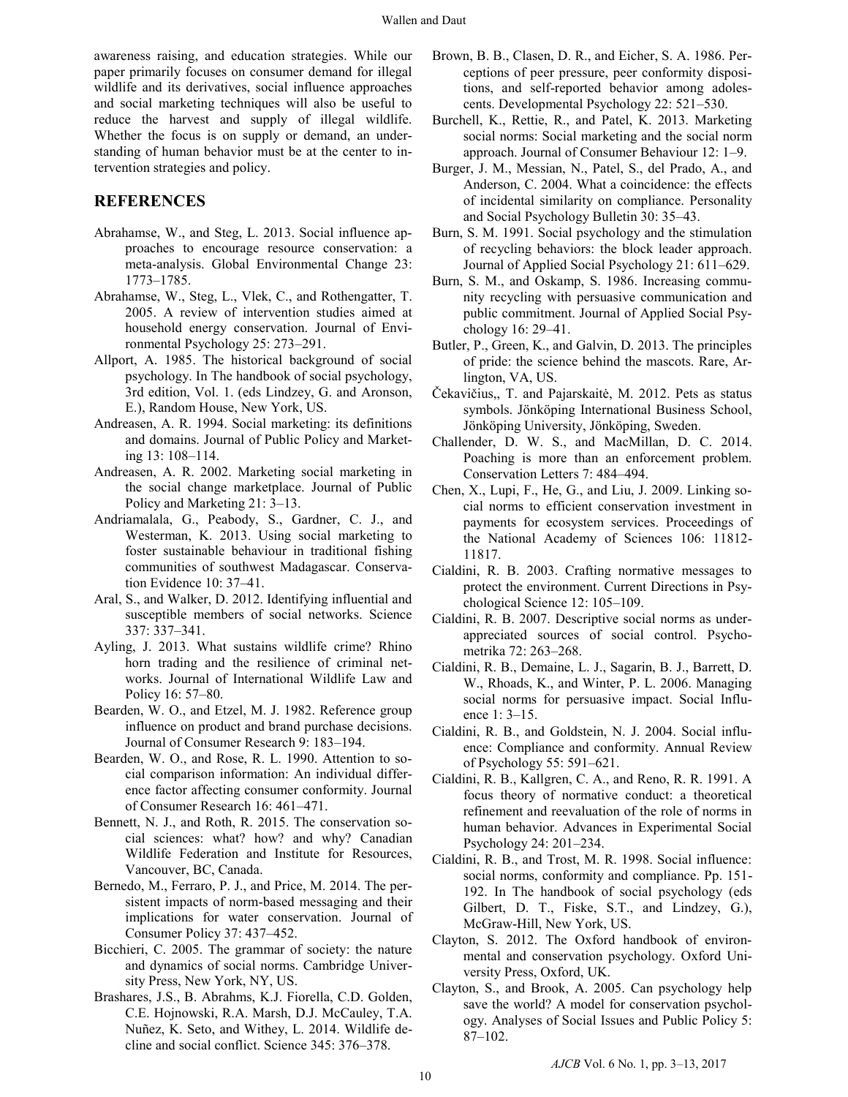awareness raising, and education strategies. While our paper primarily focuses on consumer demand for illegal wildlife and its derivatives, social influence approaches and social marketing techniques will also be useful to reduce the harvest and supply of illegal wildlife. Whether the focus is on supply or demand, an understanding of human behavior must be at the center to intervention strategies and policy.

# **REFERENCES**

- Abrahamse, W., and Steg, L. 2013. Social influence approaches to encourage resource conservation: a meta-analysis. Global Environmental Change 23: 1773–1785.
- Abrahamse, W., Steg, L., Vlek, C., and Rothengatter, T. 2005. A review of intervention studies aimed at household energy conservation. Journal of Environmental Psychology 25: 273–291.
- Allport, A. 1985. The historical background of social psychology. In The handbook of social psychology, 3rd edition, Vol. 1. (eds Lindzey, G. and Aronson, E.), Random House, New York, US.
- Andreasen, A. R. 1994. Social marketing: its definitions and domains. Journal of Public Policy and Marketing 13: 108–114.
- Andreasen, A. R. 2002. Marketing social marketing in the social change marketplace. Journal of Public Policy and Marketing 21: 3–13.
- Andriamalala, G., Peabody, S., Gardner, C. J., and Westerman, K. 2013. Using social marketing to foster sustainable behaviour in traditional fishing communities of southwest Madagascar. Conservation Evidence 10: 37–41.
- Aral, S., and Walker, D. 2012. Identifying influential and susceptible members of social networks. Science 337: 337–341.
- Ayling, J. 2013. What sustains wildlife crime? Rhino horn trading and the resilience of criminal networks. Journal of International Wildlife Law and Policy 16: 57–80.
- Bearden, W. O., and Etzel, M. J. 1982. Reference group influence on product and brand purchase decisions. Journal of Consumer Research 9: 183–194.
- Bearden, W. O., and Rose, R. L. 1990. Attention to social comparison information: An individual difference factor affecting consumer conformity. Journal of Consumer Research 16: 461–471.
- Bennett, N. J., and Roth, R. 2015. The conservation social sciences: what? how? and why? Canadian Wildlife Federation and Institute for Resources, Vancouver, BC, Canada.
- Bernedo, M., Ferraro, P. J., and Price, M. 2014. The persistent impacts of norm-based messaging and their implications for water conservation. Journal of Consumer Policy 37: 437–452.
- Bicchieri, C. 2005. The grammar of society: the nature and dynamics of social norms. Cambridge University Press, New York, NY, US.
- Brashares, J.S., B. Abrahms, K.J. Fiorella, C.D. Golden, C.E. Hojnowski, R.A. Marsh, D.J. McCauley, T.A. Nuñez, K. Seto, and Withey, L. 2014. Wildlife decline and social conflict. Science 345: 376–378.
- Brown, B. B., Clasen, D. R., and Eicher, S. A. 1986. Perceptions of peer pressure, peer conformity dispositions, and self-reported behavior among adolescents. Developmental Psychology 22: 521–530.
- Burchell, K., Rettie, R., and Patel, K. 2013. Marketing social norms: Social marketing and the social norm approach. Journal of Consumer Behaviour 12: 1–9.
- Burger, J. M., Messian, N., Patel, S., del Prado, A., and Anderson, C. 2004. What a coincidence: the effects of incidental similarity on compliance. Personality and Social Psychology Bulletin 30: 35–43.
- Burn, S. M. 1991. Social psychology and the stimulation of recycling behaviors: the block leader approach. Journal of Applied Social Psychology 21: 611–629.
- Burn, S. M., and Oskamp, S. 1986. Increasing community recycling with persuasive communication and public commitment. Journal of Applied Social Psychology 16: 29–41.
- Butler, P., Green, K., and Galvin, D. 2013. The principles of pride: the science behind the mascots. Rare, Arlington, VA, US.
- Čekavičius,, T. and Pajarskaitė, M. 2012. Pets as status symbols. Jönköping International Business School, Jönköping University, Jönköping, Sweden.
- Challender, D. W. S., and MacMillan, D. C. 2014. Poaching is more than an enforcement problem. Conservation Letters 7: 484–494.
- Chen, X., Lupi, F., He, G., and Liu, J. 2009. Linking social norms to efficient conservation investment in payments for ecosystem services. Proceedings of the National Academy of Sciences 106: 11812- 11817.
- Cialdini, R. B. 2003. Crafting normative messages to protect the environment. Current Directions in Psychological Science 12: 105–109.
- Cialdini, R. B. 2007. Descriptive social norms as underappreciated sources of social control. Psychometrika 72: 263–268.
- Cialdini, R. B., Demaine, L. J., Sagarin, B. J., Barrett, D. W., Rhoads, K., and Winter, P. L. 2006. Managing social norms for persuasive impact. Social Influence 1: 3–15.
- Cialdini, R. B., and Goldstein, N. J. 2004. Social influence: Compliance and conformity. Annual Review of Psychology 55: 591–621.
- Cialdini, R. B., Kallgren, C. A., and Reno, R. R. 1991. A focus theory of normative conduct: a theoretical refinement and reevaluation of the role of norms in human behavior. Advances in Experimental Social Psychology 24: 201–234.
- Cialdini, R. B., and Trost, M. R. 1998. Social influence: social norms, conformity and compliance. Pp. 151- 192. In The handbook of social psychology (eds Gilbert, D. T., Fiske, S.T., and Lindzey, G.), McGraw-Hill, New York, US.
- Clayton, S. 2012. The Oxford handbook of environmental and conservation psychology. Oxford University Press, Oxford, UK.
- Clayton, S., and Brook, A. 2005. Can psychology help save the world? A model for conservation psychology. Analyses of Social Issues and Public Policy 5: 87–102.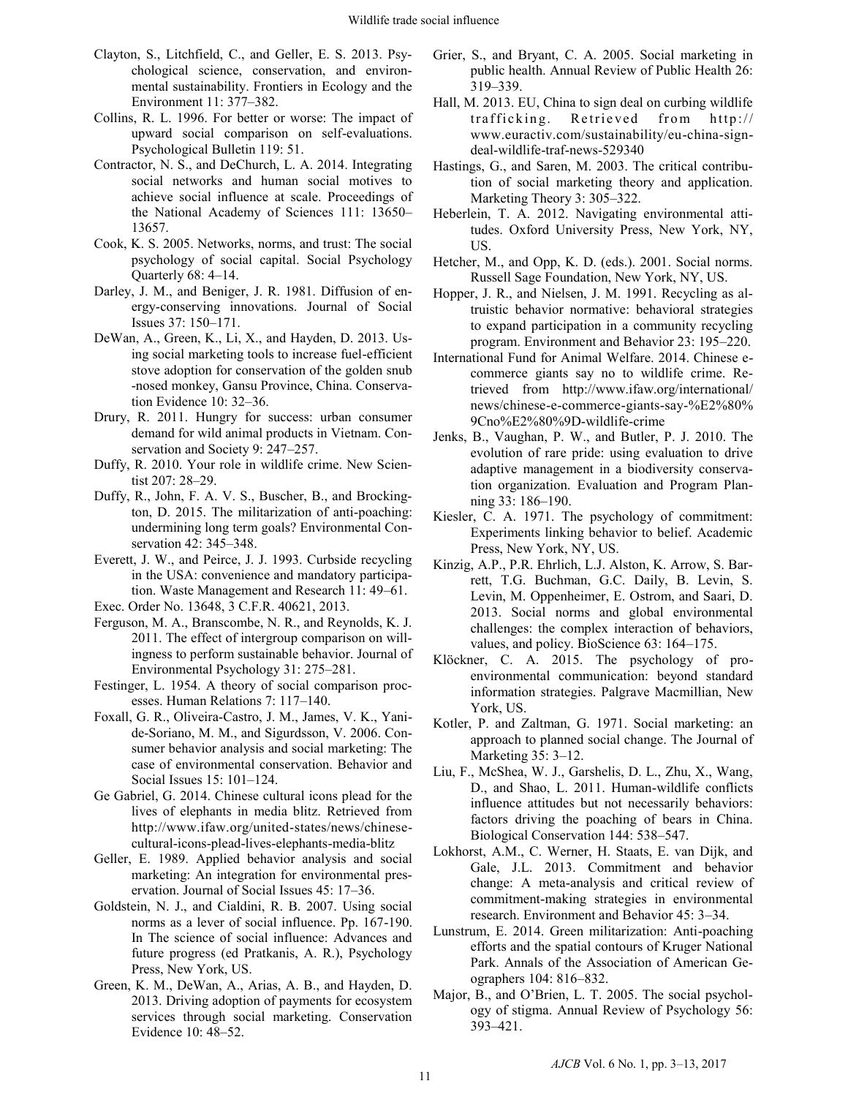- Clayton, S., Litchfield, C., and Geller, E. S. 2013. Psychological science, conservation, and environmental sustainability. Frontiers in Ecology and the Environment 11: 377–382.
- Collins, R. L. 1996. For better or worse: The impact of upward social comparison on self-evaluations. Psychological Bulletin 119: 51.
- Contractor, N. S., and DeChurch, L. A. 2014. Integrating social networks and human social motives to achieve social influence at scale. Proceedings of the National Academy of Sciences 111: 13650– 13657.
- Cook, K. S. 2005. Networks, norms, and trust: The social psychology of social capital. Social Psychology Quarterly 68: 4–14.
- Darley, J. M., and Beniger, J. R. 1981. Diffusion of energy-conserving innovations. Journal of Social Issues 37: 150–171.
- DeWan, A., Green, K., Li, X., and Hayden, D. 2013. Using social marketing tools to increase fuel-efficient stove adoption for conservation of the golden snub -nosed monkey, Gansu Province, China. Conservation Evidence 10: 32–36.
- Drury, R. 2011. Hungry for success: urban consumer demand for wild animal products in Vietnam. Conservation and Society 9: 247–257.
- Duffy, R. 2010. Your role in wildlife crime. New Scientist 207: 28–29.
- Duffy, R., John, F. A. V. S., Buscher, B., and Brockington, D. 2015. The militarization of anti-poaching: undermining long term goals? Environmental Conservation 42: 345–348.
- Everett, J. W., and Peirce, J. J. 1993. Curbside recycling in the USA: convenience and mandatory participation. Waste Management and Research 11: 49–61.
- Exec. Order No. 13648, 3 C.F.R. 40621, 2013.
- Ferguson, M. A., Branscombe, N. R., and Reynolds, K. J. 2011. The effect of intergroup comparison on willingness to perform sustainable behavior. Journal of Environmental Psychology 31: 275–281.
- Festinger, L. 1954. A theory of social comparison processes. Human Relations 7: 117–140.
- Foxall, G. R., Oliveira-Castro, J. M., James, V. K., Yanide-Soriano, M. M., and Sigurdsson, V. 2006. Consumer behavior analysis and social marketing: The case of environmental conservation. Behavior and Social Issues 15: 101–124.
- Ge Gabriel, G. 2014. Chinese cultural icons plead for the lives of elephants in media blitz. Retrieved from http://www.ifaw.org/united-states/news/chinesecultural-icons-plead-lives-elephants-media-blitz
- Geller, E. 1989. Applied behavior analysis and social marketing: An integration for environmental preservation. Journal of Social Issues 45: 17–36.
- Goldstein, N. J., and Cialdini, R. B. 2007. Using social norms as a lever of social influence. Pp. 167-190. In The science of social influence: Advances and future progress (ed Pratkanis, A. R.), Psychology Press, New York, US.
- Green, K. M., DeWan, A., Arias, A. B., and Hayden, D. 2013. Driving adoption of payments for ecosystem services through social marketing. Conservation Evidence 10: 48–52.
- Grier, S., and Bryant, C. A. 2005. Social marketing in public health. Annual Review of Public Health 26: 319–339.
- Hall, M. 2013. EU, China to sign deal on curbing wildlife trafficking. Retrieved from http:// www.euractiv.com/sustainability/eu-china-signdeal-wildlife-traf-news-529340
- Hastings, G., and Saren, M. 2003. The critical contribution of social marketing theory and application. Marketing Theory 3: 305–322.
- Heberlein, T. A. 2012. Navigating environmental attitudes. Oxford University Press, New York, NY, US.
- Hetcher, M., and Opp, K. D. (eds.). 2001. Social norms. Russell Sage Foundation, New York, NY, US.
- Hopper, J. R., and Nielsen, J. M. 1991. Recycling as altruistic behavior normative: behavioral strategies to expand participation in a community recycling program. Environment and Behavior 23: 195–220.
- International Fund for Animal Welfare. 2014. Chinese ecommerce giants say no to wildlife crime. Retrieved from http://www.ifaw.org/international/ news/chinese-e-commerce-giants-say-%E2%80% 9Cno%E2%80%9D-wildlife-crime
- Jenks, B., Vaughan, P. W., and Butler, P. J. 2010. The evolution of rare pride: using evaluation to drive adaptive management in a biodiversity conservation organization. Evaluation and Program Planning 33: 186–190.
- Kiesler, C. A. 1971. The psychology of commitment: Experiments linking behavior to belief. Academic Press, New York, NY, US.
- Kinzig, A.P., P.R. Ehrlich, L.J. Alston, K. Arrow, S. Barrett, T.G. Buchman, G.C. Daily, B. Levin, S. Levin, M. Oppenheimer, E. Ostrom, and Saari, D. 2013. Social norms and global environmental challenges: the complex interaction of behaviors, values, and policy. BioScience 63: 164–175.
- Klöckner, C. A. 2015. The psychology of proenvironmental communication: beyond standard information strategies. Palgrave Macmillian, New York, US.
- Kotler, P. and Zaltman, G. 1971. Social marketing: an approach to planned social change. The Journal of Marketing 35: 3–12.
- Liu, F., McShea, W. J., Garshelis, D. L., Zhu, X., Wang, D., and Shao, L. 2011. Human-wildlife conflicts influence attitudes but not necessarily behaviors: factors driving the poaching of bears in China. Biological Conservation 144: 538–547.
- Lokhorst, A.M., C. Werner, H. Staats, E. van Dijk, and Gale, J.L. 2013. Commitment and behavior change: A meta-analysis and critical review of commitment-making strategies in environmental research. Environment and Behavior 45: 3–34.
- Lunstrum, E. 2014. Green militarization: Anti-poaching efforts and the spatial contours of Kruger National Park. Annals of the Association of American Geographers 104: 816–832.
- Major, B., and O'Brien, L. T. 2005. The social psychology of stigma. Annual Review of Psychology 56: 393–421.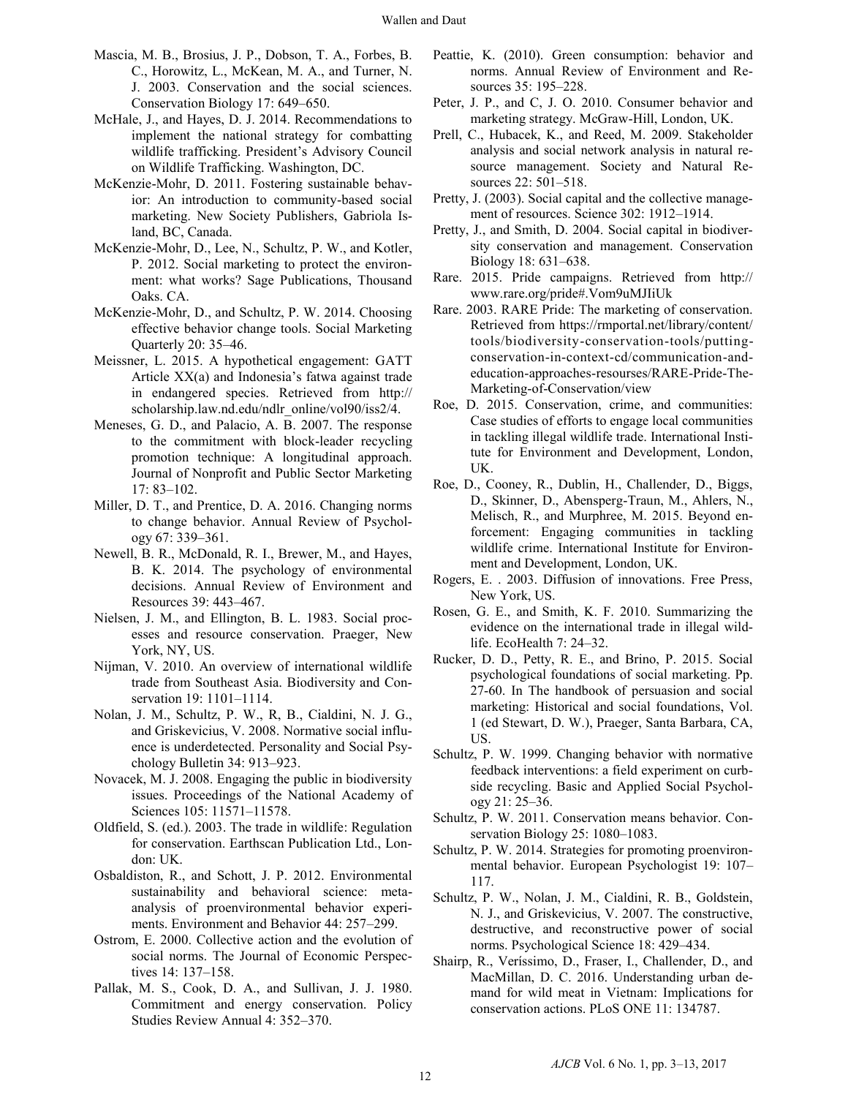- Mascia, M. B., Brosius, J. P., Dobson, T. A., Forbes, B. C., Horowitz, L., McKean, M. A., and Turner, N. J. 2003. Conservation and the social sciences. Conservation Biology 17: 649–650.
- McHale, J., and Hayes, D. J. 2014. Recommendations to implement the national strategy for combatting wildlife trafficking. President's Advisory Council on Wildlife Trafficking. Washington, DC.
- McKenzie-Mohr, D. 2011. Fostering sustainable behavior: An introduction to community-based social marketing. New Society Publishers, Gabriola Island, BC, Canada.
- McKenzie-Mohr, D., Lee, N., Schultz, P. W., and Kotler, P. 2012. Social marketing to protect the environment: what works? Sage Publications, Thousand Oaks. CA.
- McKenzie-Mohr, D., and Schultz, P. W. 2014. Choosing effective behavior change tools. Social Marketing Quarterly 20: 35–46.
- Meissner, L. 2015. A hypothetical engagement: GATT Article XX(a) and Indonesia's fatwa against trade in endangered species. Retrieved from http:// scholarship.law.nd.edu/ndlr\_online/vol90/iss2/4.
- Meneses, G. D., and Palacio, A. B. 2007. The response to the commitment with block-leader recycling promotion technique: A longitudinal approach. Journal of Nonprofit and Public Sector Marketing 17: 83–102.
- Miller, D. T., and Prentice, D. A. 2016. Changing norms to change behavior. Annual Review of Psychology 67: 339–361.
- Newell, B. R., McDonald, R. I., Brewer, M., and Hayes, B. K. 2014. The psychology of environmental decisions. Annual Review of Environment and Resources 39: 443–467.
- Nielsen, J. M., and Ellington, B. L. 1983. Social processes and resource conservation. Praeger, New York, NY, US.
- Nijman, V. 2010. An overview of international wildlife trade from Southeast Asia. Biodiversity and Conservation 19: 1101–1114.
- Nolan, J. M., Schultz, P. W., R, B., Cialdini, N. J. G., and Griskevicius, V. 2008. Normative social influence is underdetected. Personality and Social Psychology Bulletin 34: 913–923.
- Novacek, M. J. 2008. Engaging the public in biodiversity issues. Proceedings of the National Academy of Sciences 105: 11571–11578.
- Oldfield, S. (ed.). 2003. The trade in wildlife: Regulation for conservation. Earthscan Publication Ltd., London: UK.
- Osbaldiston, R., and Schott, J. P. 2012. Environmental sustainability and behavioral science: metaanalysis of proenvironmental behavior experiments. Environment and Behavior 44: 257–299.
- Ostrom, E. 2000. Collective action and the evolution of social norms. The Journal of Economic Perspectives 14: 137–158.
- Pallak, M. S., Cook, D. A., and Sullivan, J. J. 1980. Commitment and energy conservation. Policy Studies Review Annual 4: 352–370.
- Peattie, K. (2010). Green consumption: behavior and norms. Annual Review of Environment and Resources 35: 195–228.
- Peter, J. P., and C, J. O. 2010. Consumer behavior and marketing strategy. McGraw-Hill, London, UK.
- Prell, C., Hubacek, K., and Reed, M. 2009. Stakeholder analysis and social network analysis in natural resource management. Society and Natural Resources 22: 501–518.
- Pretty, J. (2003). Social capital and the collective management of resources. Science 302: 1912–1914.
- Pretty, J., and Smith, D. 2004. Social capital in biodiversity conservation and management. Conservation Biology 18: 631–638.
- Rare. 2015. Pride campaigns. Retrieved from http:// www.rare.org/pride#.Vom9uMJIiUk
- Rare. 2003. RARE Pride: The marketing of conservation. Retrieved from https://rmportal.net/library/content/ tools/biodiversity-conservation-tools/puttingconservation-in-context-cd/communication-andeducation-approaches-resourses/RARE-Pride-The-Marketing-of-Conservation/view
- Roe, D. 2015. Conservation, crime, and communities: Case studies of efforts to engage local communities in tackling illegal wildlife trade. International Institute for Environment and Development, London, UK.
- Roe, D., Cooney, R., Dublin, H., Challender, D., Biggs, D., Skinner, D., Abensperg-Traun, M., Ahlers, N., Melisch, R., and Murphree, M. 2015. Beyond enforcement: Engaging communities in tackling wildlife crime. International Institute for Environment and Development, London, UK.
- Rogers, E. . 2003. Diffusion of innovations. Free Press, New York, US.
- Rosen, G. E., and Smith, K. F. 2010. Summarizing the evidence on the international trade in illegal wildlife. EcoHealth 7: 24–32.
- Rucker, D. D., Petty, R. E., and Brino, P. 2015. Social psychological foundations of social marketing. Pp. 27-60. In The handbook of persuasion and social marketing: Historical and social foundations, Vol. 1 (ed Stewart, D. W.), Praeger, Santa Barbara, CA, US.
- Schultz, P. W. 1999. Changing behavior with normative feedback interventions: a field experiment on curbside recycling. Basic and Applied Social Psychology 21: 25–36.
- Schultz, P. W. 2011. Conservation means behavior. Conservation Biology 25: 1080–1083.
- Schultz, P. W. 2014. Strategies for promoting proenvironmental behavior. European Psychologist 19: 107– 117.
- Schultz, P. W., Nolan, J. M., Cialdini, R. B., Goldstein, N. J., and Griskevicius, V. 2007. The constructive, destructive, and reconstructive power of social norms. Psychological Science 18: 429–434.
- Shairp, R., Veríssimo, D., Fraser, I., Challender, D., and MacMillan, D. C. 2016. Understanding urban demand for wild meat in Vietnam: Implications for conservation actions. PLoS ONE 11: 134787.